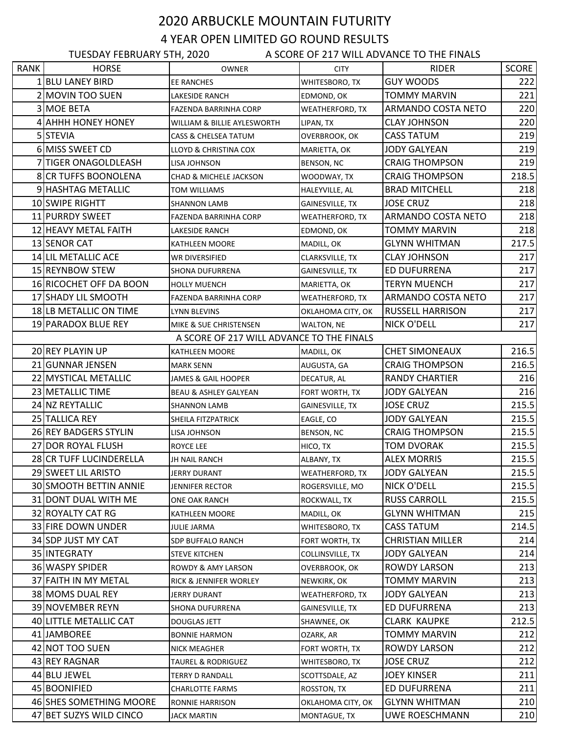## 2020 ARBUCKLE MOUNTAIN FUTURITY 4 YEAR OPEN LIMITED GO ROUND RESULTS

| A SCORE OF 217 WILL ADVANCE TO THE FINALS<br><b>TUESDAY FEBRUARY 5TH, 2020</b> |                         |                                           |                        |                         |              |  |  |  |
|--------------------------------------------------------------------------------|-------------------------|-------------------------------------------|------------------------|-------------------------|--------------|--|--|--|
| <b>RANK</b>                                                                    | <b>HORSE</b>            | <b>OWNER</b>                              | <b>CITY</b>            | <b>RIDER</b>            | <b>SCORE</b> |  |  |  |
|                                                                                | 1 BLU LANEY BIRD        | <b>EE RANCHES</b>                         | WHITESBORO, TX         | <b>GUY WOODS</b>        | 222          |  |  |  |
|                                                                                | 2 MOVIN TOO SUEN        | LAKESIDE RANCH                            | EDMOND, OK             | <b>TOMMY MARVIN</b>     | 221          |  |  |  |
|                                                                                | 3 MOE BETA              | FAZENDA BARRINHA CORP                     | WEATHERFORD, TX        | ARMANDO COSTA NETO      | 220          |  |  |  |
|                                                                                | 4 AHHH HONEY HONEY      | WILLIAM & BILLIE AYLESWORTH               | LIPAN, TX              | <b>CLAY JOHNSON</b>     | 220          |  |  |  |
|                                                                                | 5 STEVIA                | CASS & CHELSEA TATUM                      | OVERBROOK, OK          | <b>CASS TATUM</b>       | 219          |  |  |  |
|                                                                                | 6 MISS SWEET CD         | LLOYD & CHRISTINA COX                     | MARIETTA, OK           | JODY GALYEAN            | 219          |  |  |  |
|                                                                                | 7 TIGER ONAGOLDLEASH    | LISA JOHNSON                              | BENSON, NC             | <b>CRAIG THOMPSON</b>   | 219          |  |  |  |
|                                                                                | 8 CR TUFFS BOONOLENA    | CHAD & MICHELE JACKSON                    | WOODWAY, TX            | <b>CRAIG THOMPSON</b>   | 218.5        |  |  |  |
|                                                                                | 9 HASHTAG METALLIC      | TOM WILLIAMS                              | HALEYVILLE, AL         | <b>BRAD MITCHELL</b>    | 218          |  |  |  |
|                                                                                | 10 SWIPE RIGHTT         | <b>SHANNON LAMB</b>                       | GAINESVILLE, TX        | <b>JOSE CRUZ</b>        | 218          |  |  |  |
|                                                                                | 11 PURRDY SWEET         | FAZENDA BARRINHA CORP                     | <b>WEATHERFORD, TX</b> | ARMANDO COSTA NETO      | 218          |  |  |  |
|                                                                                | 12 HEAVY METAL FAITH    | LAKESIDE RANCH                            | EDMOND, OK             | <b>TOMMY MARVIN</b>     | 218          |  |  |  |
|                                                                                | 13 SENOR CAT            | KATHLEEN MOORE                            | MADILL, OK             | <b>GLYNN WHITMAN</b>    | 217.5        |  |  |  |
|                                                                                | 14 LIL METALLIC ACE     | WR DIVERSIFIED                            | CLARKSVILLE, TX        | <b>CLAY JOHNSON</b>     | 217          |  |  |  |
|                                                                                | 15 REYNBOW STEW         | SHONA DUFURRENA                           | GAINESVILLE, TX        | ED DUFURRENA            | 217          |  |  |  |
|                                                                                | 16 RICOCHET OFF DA BOON | <b>HOLLY MUENCH</b>                       | MARIETTA, OK           | <b>TERYN MUENCH</b>     | 217          |  |  |  |
|                                                                                | 17 SHADY LIL SMOOTH     | FAZENDA BARRINHA CORP                     | WEATHERFORD, TX        | ARMANDO COSTA NETO      | 217          |  |  |  |
|                                                                                | 18 LB METALLIC ON TIME  | LYNN BLEVINS                              | OKLAHOMA CITY, OK      | <b>RUSSELL HARRISON</b> | 217          |  |  |  |
|                                                                                | 19 PARADOX BLUE REY     | MIKE & SUE CHRISTENSEN                    | <b>WALTON, NE</b>      | <b>NICK O'DELL</b>      | 217          |  |  |  |
|                                                                                |                         | A SCORE OF 217 WILL ADVANCE TO THE FINALS |                        |                         |              |  |  |  |
|                                                                                | 20 REY PLAYIN UP        | KATHLEEN MOORE                            | MADILL, OK             | <b>CHET SIMONEAUX</b>   | 216.5        |  |  |  |
|                                                                                | 21 GUNNAR JENSEN        | MARK SENN                                 | AUGUSTA, GA            | <b>CRAIG THOMPSON</b>   | 216.5        |  |  |  |
|                                                                                | 22 MYSTICAL METALLIC    | JAMES & GAIL HOOPER                       | DECATUR, AL            | <b>RANDY CHARTIER</b>   | 216          |  |  |  |
|                                                                                | 23 METALLIC TIME        | <b>BEAU &amp; ASHLEY GALYEAN</b>          | FORT WORTH, TX         | <b>JODY GALYEAN</b>     | 216          |  |  |  |
|                                                                                | 24 NZ REYTALLIC         | <b>SHANNON LAMB</b>                       | <b>GAINESVILLE, TX</b> | <b>JOSE CRUZ</b>        | 215.5        |  |  |  |
|                                                                                | 25 TALLICA REY          | SHEILA FITZPATRICK                        | EAGLE, CO              | <b>JODY GALYEAN</b>     | 215.5        |  |  |  |
|                                                                                | 26 REY BADGERS STYLIN   | LISA JOHNSON                              | BENSON, NC             | <b>CRAIG THOMPSON</b>   | 215.5        |  |  |  |
|                                                                                | 27 DOR ROYAL FLUSH      | ROYCE LEE                                 | HICO, TX               | <b>TOM DVORAK</b>       | 215.5        |  |  |  |
|                                                                                | 28 CR TUFF LUCINDERELLA | JH NAIL RANCH                             | ALBANY, TX             | <b>ALEX MORRIS</b>      | 215.5        |  |  |  |
|                                                                                | 29 SWEET LIL ARISTO     | <b>JERRY DURANT</b>                       | <b>WEATHERFORD, TX</b> | <b>JODY GALYEAN</b>     | 215.5        |  |  |  |
|                                                                                | 30 SMOOTH BETTIN ANNIE  | JENNIFER RECTOR                           | ROGERSVILLE, MO        | <b>NICK O'DELL</b>      | 215.5        |  |  |  |
|                                                                                | 31 DONT DUAL WITH ME    | ONE OAK RANCH                             | ROCKWALL, TX           | <b>RUSS CARROLL</b>     | 215.5        |  |  |  |
|                                                                                | 32 ROYALTY CAT RG       | KATHLEEN MOORE                            | MADILL, OK             | <b>GLYNN WHITMAN</b>    | 215          |  |  |  |
|                                                                                | 33 FIRE DOWN UNDER      | JULIE JARMA                               | WHITESBORO, TX         | CASS TATUM              | 214.5        |  |  |  |
|                                                                                | 34 SDP JUST MY CAT      | SDP BUFFALO RANCH                         | FORT WORTH, TX         | <b>CHRISTIAN MILLER</b> | 214          |  |  |  |
|                                                                                | 35 INTEGRATY            | <b>STEVE KITCHEN</b>                      | COLLINSVILLE, TX       | <b>JODY GALYEAN</b>     | 214          |  |  |  |
|                                                                                | 36 WASPY SPIDER         | ROWDY & AMY LARSON                        | OVERBROOK, OK          | ROWDY LARSON            | 213          |  |  |  |
|                                                                                | 37 FAITH IN MY METAL    | RICK & JENNIFER WORLEY                    | NEWKIRK, OK            | <b>TOMMY MARVIN</b>     | 213          |  |  |  |
|                                                                                | 38 MOMS DUAL REY        | JERRY DURANT                              | WEATHERFORD, TX        | <b>JODY GALYEAN</b>     | 213          |  |  |  |
|                                                                                | 39 NOVEMBER REYN        | SHONA DUFURRENA                           | GAINESVILLE, TX        | ED DUFURRENA            | 213          |  |  |  |
|                                                                                | 40 LITTLE METALLIC CAT  | <b>DOUGLAS JETT</b>                       | SHAWNEE, OK            | <b>CLARK KAUPKE</b>     | 212.5        |  |  |  |
|                                                                                | 41 JAMBOREE             | <b>BONNIE HARMON</b>                      | OZARK, AR              | <b>TOMMY MARVIN</b>     | 212          |  |  |  |
|                                                                                | 42 NOT TOO SUEN         | NICK MEAGHER                              | FORT WORTH, TX         | ROWDY LARSON            | 212          |  |  |  |
|                                                                                | 43 REY RAGNAR           | TAUREL & RODRIGUEZ                        | WHITESBORO, TX         | <b>JOSE CRUZ</b>        | 212          |  |  |  |
|                                                                                | 44 BLU JEWEL            | <b>TERRY D RANDALL</b>                    | SCOTTSDALE, AZ         | <b>JOEY KINSER</b>      | 211          |  |  |  |
|                                                                                | 45 BOONIFIED            | <b>CHARLOTTE FARMS</b>                    | ROSSTON, TX            | ED DUFURRENA            | 211          |  |  |  |
|                                                                                | 46 SHES SOMETHING MOORE | RONNIE HARRISON                           | OKLAHOMA CITY, OK      | <b>GLYNN WHITMAN</b>    | 210          |  |  |  |
|                                                                                | 47 BET SUZYS WILD CINCO | <b>JACK MARTIN</b>                        | MONTAGUE, TX           | UWE ROESCHMANN          | 210          |  |  |  |